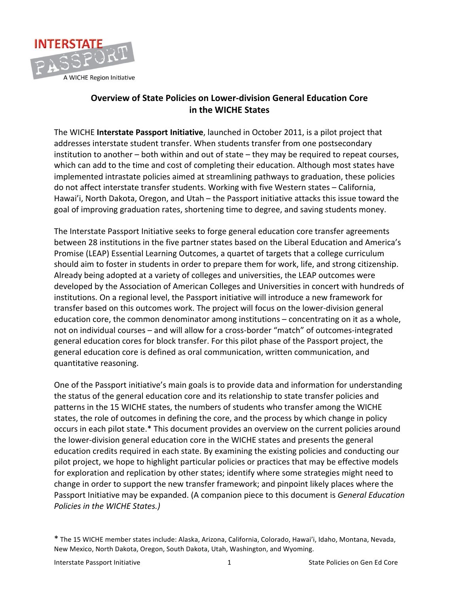

## **Overview of State Policies on Lower-division General Education Core in the WICHE States**

The WICHE Interstate Passport Initiative, launched in October 2011, is a pilot project that addresses interstate student transfer. When students transfer from one postsecondary institution to another – both within and out of state – they may be required to repeat courses, which can add to the time and cost of completing their education. Although most states have implemented intrastate policies aimed at streamlining pathways to graduation, these policies do not affect interstate transfer students. Working with five Western states – California, Hawai'i, North Dakota, Oregon, and Utah – the Passport initiative attacks this issue toward the goal of improving graduation rates, shortening time to degree, and saving students money.

The Interstate Passport Initiative seeks to forge general education core transfer agreements between 28 institutions in the five partner states based on the Liberal Education and America's Promise (LEAP) Essential Learning Outcomes, a quartet of targets that a college curriculum should aim to foster in students in order to prepare them for work, life, and strong citizenship. Already being adopted at a variety of colleges and universities, the LEAP outcomes were developed by the Association of American Colleges and Universities in concert with hundreds of institutions. On a regional level, the Passport initiative will introduce a new framework for transfer based on this outcomes work. The project will focus on the lower-division general education core, the common denominator among institutions – concentrating on it as a whole, not on individual courses – and will allow for a cross-border "match" of outcomes-integrated general education cores for block transfer. For this pilot phase of the Passport project, the general education core is defined as oral communication, written communication, and quantitative reasoning.

One of the Passport initiative's main goals is to provide data and information for understanding the status of the general education core and its relationship to state transfer policies and patterns in the 15 WICHE states, the numbers of students who transfer among the WICHE states, the role of outcomes in defining the core, and the process by which change in policy occurs in each pilot state.\* This document provides an overview on the current policies around the lower-division general education core in the WICHE states and presents the general education credits required in each state. By examining the existing policies and conducting our pilot project, we hope to highlight particular policies or practices that may be effective models for exploration and replication by other states; identify where some strategies might need to change in order to support the new transfer framework; and pinpoint likely places where the Passport Initiative may be expanded. (A companion piece to this document is *General Education Policies in the WICHE States.)* 

<sup>\*</sup> The 15 WICHE member states include: Alaska, Arizona, California, Colorado, Hawai'i, Idaho, Montana, Nevada, New Mexico, North Dakota, Oregon, South Dakota, Utah, Washington, and Wyoming.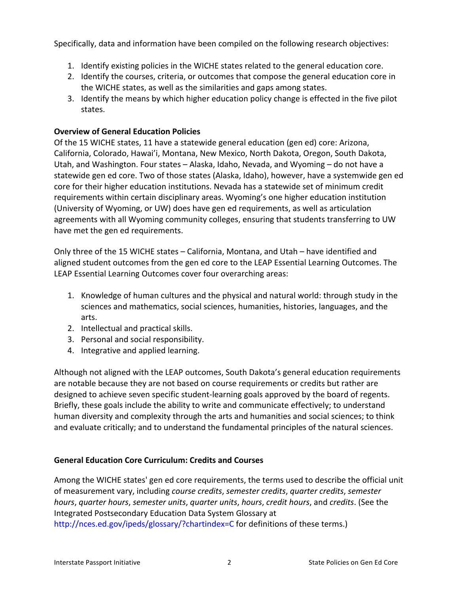Specifically, data and information have been compiled on the following research objectives:

- 1. Identify existing policies in the WICHE states related to the general education core.
- 2. Identify the courses, criteria, or outcomes that compose the general education core in the WICHE states, as well as the similarities and gaps among states.
- 3. Identify the means by which higher education policy change is effected in the five pilot states.

## **Overview of General Education Policies**

Of the 15 WICHE states, 11 have a statewide general education (gen ed) core: Arizona, California, Colorado, Hawai'i, Montana, New Mexico, North Dakota, Oregon, South Dakota, Utah, and Washington. Four states – Alaska, Idaho, Nevada, and Wyoming – do not have a statewide gen ed core. Two of those states (Alaska, Idaho), however, have a systemwide gen ed core for their higher education institutions. Nevada has a statewide set of minimum credit requirements within certain disciplinary areas. Wyoming's one higher education institution (University of Wyoming, or UW) does have gen ed requirements, as well as articulation agreements with all Wyoming community colleges, ensuring that students transferring to UW have met the gen ed requirements.

Only three of the 15 WICHE states – California, Montana, and Utah – have identified and aligned student outcomes from the gen ed core to the LEAP Essential Learning Outcomes. The LEAP Essential Learning Outcomes cover four overarching areas:

- 1. Knowledge of human cultures and the physical and natural world: through study in the sciences and mathematics, social sciences, humanities, histories, languages, and the arts.
- 2. Intellectual and practical skills.
- 3. Personal and social responsibility.
- 4. Integrative and applied learning.

Although not aligned with the LEAP outcomes, South Dakota's general education requirements are notable because they are not based on course requirements or credits but rather are designed to achieve seven specific student-learning goals approved by the board of regents. Briefly, these goals include the ability to write and communicate effectively; to understand human diversity and complexity through the arts and humanities and social sciences; to think and evaluate critically; and to understand the fundamental principles of the natural sciences.

## **General Education Core Curriculum: Credits and Courses**

Among the WICHE states' gen ed core requirements, the terms used to describe the official unit of(measurement vary, including *course'credits*, *semester'credits*, *quarter'credits*, *semester' hours*, *quarter hours*, *semester units*, *quarter units*, *hours*, *credit hours*, and *credits*. (See the Integrated Postsecondary Education Data System Glossary at http://nces.ed.gov/ipeds/glossary/?chartindex=C for definitions of these terms.)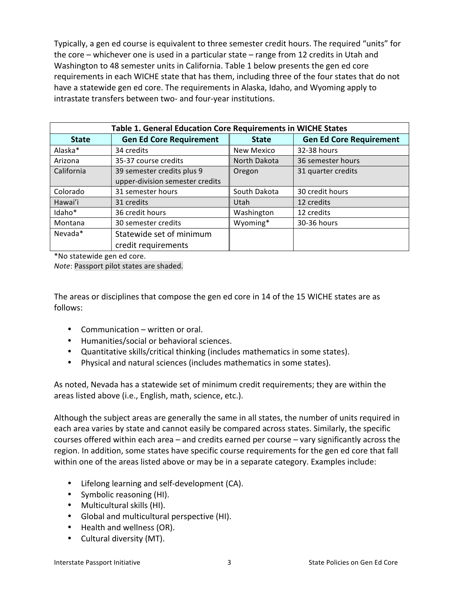Typically, a gen ed course is equivalent to three semester credit hours. The required "units" for the core – whichever one is used in a particular state – range from 12 credits in Utah and Washington to 48 semester units in California. Table 1 below presents the gen ed core requirements in each WICHE state that has them, including three of the four states that do not have a statewide gen ed core. The requirements in Alaska, Idaho, and Wyoming apply to intrastate transfers between two- and four-year institutions.

| Table 1. General Education Core Requirements in WICHE States |                                                               |              |                                |  |
|--------------------------------------------------------------|---------------------------------------------------------------|--------------|--------------------------------|--|
| <b>State</b>                                                 | <b>Gen Ed Core Requirement</b>                                | <b>State</b> | <b>Gen Ed Core Requirement</b> |  |
| Alaska*                                                      | 34 credits                                                    | New Mexico   | 32-38 hours                    |  |
| Arizona                                                      | 35-37 course credits                                          | North Dakota | 36 semester hours              |  |
| California                                                   | 39 semester credits plus 9<br>upper-division semester credits | Oregon       | 31 quarter credits             |  |
| Colorado                                                     | 31 semester hours                                             | South Dakota | 30 credit hours                |  |
| Hawai'i                                                      | 31 credits                                                    | Utah         | 12 credits                     |  |
| Idaho <sup>*</sup>                                           | 36 credit hours                                               | Washington   | 12 credits                     |  |
| Montana                                                      | 30 semester credits                                           | Wyoming*     | 30-36 hours                    |  |
| Nevada*                                                      | Statewide set of minimum<br>credit requirements               |              |                                |  |

\*No statewide gen ed core.

*Note*: Passport pilot states are shaded.

The areas or disciplines that compose the gen ed core in 14 of the 15 WICHE states are as follows:

- Communication written or oral.
- Humanities/social or behavioral sciences.
- Quantitative skills/critical thinking (includes mathematics in some states).
- Physical and natural sciences (includes mathematics in some states).

As noted, Nevada has a statewide set of minimum credit requirements; they are within the areas listed above (i.e., English, math, science, etc.).

Although the subject areas are generally the same in all states, the number of units required in each area varies by state and cannot easily be compared across states. Similarly, the specific courses offered within each area – and credits earned per course – vary significantly across the region. In addition, some states have specific course requirements for the gen ed core that fall within one of the areas listed above or may be in a separate category. Examples include:

- $\bullet$  Lifelong learning and self-development (CA).
- Symbolic reasoning (HI).
- Multicultural skills (HI).
- Global and multicultural perspective (HI).
- Health and wellness (OR).
- Cultural diversity (MT).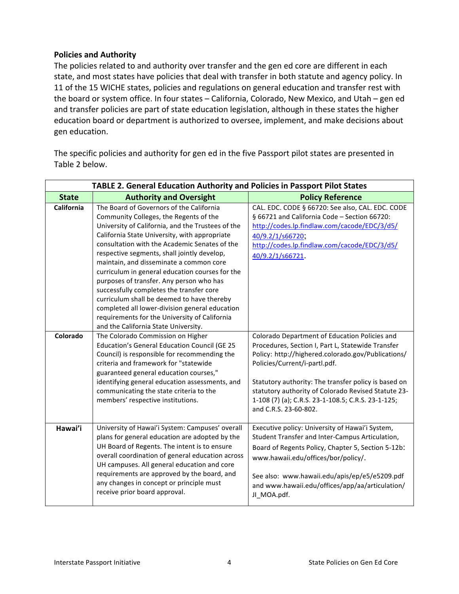## **Policies and Authority**

The policies related to and authority over transfer and the gen ed core are different in each state, and most states have policies that deal with transfer in both statute and agency policy. In 11 of the 15 WICHE states, policies and regulations on general education and transfer rest with the board or system office. In four states - California, Colorado, New Mexico, and Utah - gen ed and transfer policies are part of state education legislation, although in these states the higher education board or department is authorized to oversee, implement, and make decisions about gen education.

The specific policies and authority for gen ed in the five Passport pilot states are presented in Table 2 below.

| <b>TABLE 2. General Education Authority and Policies in Passport Pilot States</b> |                                                                                                                                                                                                                                                                                                                                                                                                                                                                                                                                                                                                                                                                         |                                                                                                                                                                                                                                                                                                                                                                                         |  |  |
|-----------------------------------------------------------------------------------|-------------------------------------------------------------------------------------------------------------------------------------------------------------------------------------------------------------------------------------------------------------------------------------------------------------------------------------------------------------------------------------------------------------------------------------------------------------------------------------------------------------------------------------------------------------------------------------------------------------------------------------------------------------------------|-----------------------------------------------------------------------------------------------------------------------------------------------------------------------------------------------------------------------------------------------------------------------------------------------------------------------------------------------------------------------------------------|--|--|
| <b>State</b>                                                                      | <b>Authority and Oversight</b>                                                                                                                                                                                                                                                                                                                                                                                                                                                                                                                                                                                                                                          | <b>Policy Reference</b>                                                                                                                                                                                                                                                                                                                                                                 |  |  |
| California                                                                        | The Board of Governors of the California<br>Community Colleges, the Regents of the<br>University of California, and the Trustees of the<br>California State University, with appropriate<br>consultation with the Academic Senates of the<br>respective segments, shall jointly develop,<br>maintain, and disseminate a common core<br>curriculum in general education courses for the<br>purposes of transfer. Any person who has<br>successfully completes the transfer core<br>curriculum shall be deemed to have thereby<br>completed all lower-division general education<br>requirements for the University of California<br>and the California State University. | CAL. EDC. CODE § 66720: See also, CAL. EDC. CODE<br>§ 66721 and California Code - Section 66720:<br>http://codes.lp.findlaw.com/cacode/EDC/3/d5/<br>40/9.2/1/s66720;<br>http://codes.lp.findlaw.com/cacode/EDC/3/d5/<br>40/9.2/1/s66721.                                                                                                                                                |  |  |
| Colorado                                                                          | The Colorado Commission on Higher<br><b>Education's General Education Council (GE 25</b><br>Council) is responsible for recommending the<br>criteria and framework for "statewide<br>guaranteed general education courses,"<br>identifying general education assessments, and<br>communicating the state criteria to the<br>members' respective institutions.                                                                                                                                                                                                                                                                                                           | Colorado Department of Education Policies and<br>Procedures, Section I, Part L, Statewide Transfer<br>Policy: http://highered.colorado.gov/Publications/<br>Policies/Current/i-partl.pdf.<br>Statutory authority: The transfer policy is based on<br>statutory authority of Colorado Revised Statute 23-<br>1-108 (7) (a); C.R.S. 23-1-108.5; C.R.S. 23-1-125;<br>and C.R.S. 23-60-802. |  |  |
| Hawai'i                                                                           | University of Hawai'i System: Campuses' overall<br>plans for general education are adopted by the<br>UH Board of Regents. The intent is to ensure<br>overall coordination of general education across<br>UH campuses. All general education and core<br>requirements are approved by the board, and<br>any changes in concept or principle must<br>receive prior board approval.                                                                                                                                                                                                                                                                                        | Executive policy: University of Hawai'i System,<br>Student Transfer and Inter-Campus Articulation,<br>Board of Regents Policy, Chapter 5, Section 5-12b:<br>www.hawaii.edu/offices/bor/policy/.<br>See also: www.hawaii.edu/apis/ep/e5/e5209.pdf<br>and www.hawaii.edu/offices/app/aa/articulation/<br>JI_MOA.pdf.                                                                      |  |  |